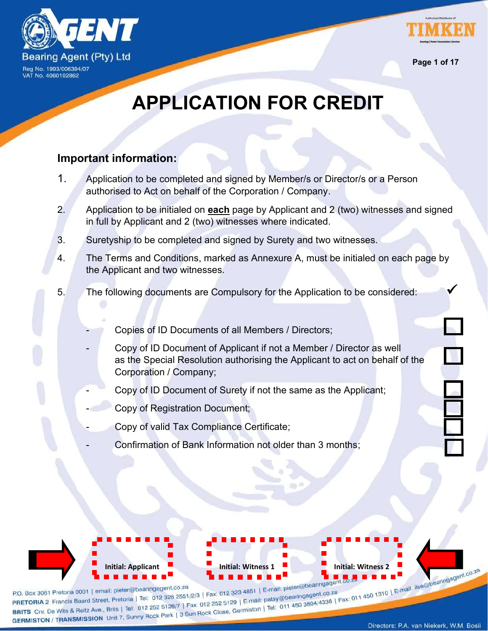



**Page 1 of 17**

# **APPLICATION FOR CREDIT**

### **Important information:**

- 1. Application to be completed and signed by Member/s or Director/s or a Person authorised to Act on behalf of the Corporation / Company.
- 2. Application to be initialed on **each** page by Applicant and 2 (two) witnesses and signed in full by Applicant and 2 (two) witnesses where indicated.
- 3. Suretyship to be completed and signed by Surety and two witnesses.
- 4. The Terms and Conditions, marked as Annexure A, must be initialed on each page by the Applicant and two witnesses.
- 5. The following documents are Compulsory for the Application to be considered:
	- Copies of ID Documents of all Members / Directors;
	- Copy of ID Document of Applicant if not a Member / Director as well as the Special Resolution authorising the Applicant to act on behalf of the Corporation / Company;
	- Copy of ID Document of Surety if not the same as the Applicant;
	- Copy of Registration Document;
	- Copy of valid Tax Compliance Certificate;
	- Confirmation of Bank Information not older than 3 months;

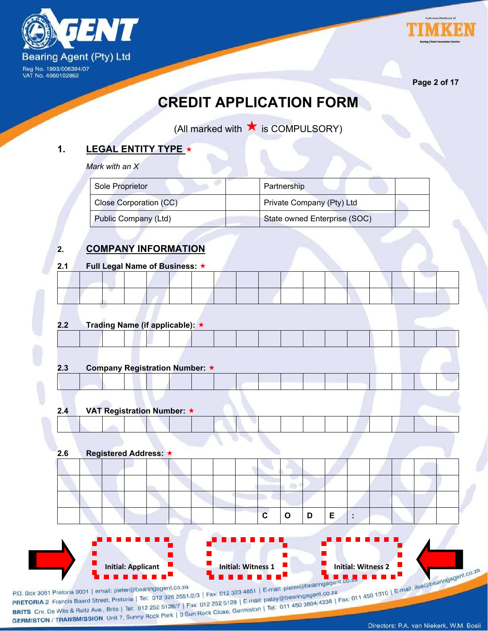



**Page 2 of 17**

## **CREDIT APPLICATION FORM**

(All marked with  $\bigstar$  is COMPULSORY)

### **1. LEGAL ENTITY TYPE**

*Mark with an X*

| Sole Proprietor             | Partnership                  |
|-----------------------------|------------------------------|
| Close Corporation (CC)      | Private Company (Pty) Ltd    |
| <b>Public Company (Ltd)</b> | State owned Enterprise (SOC) |

### **2. COMPANY INFORMATION**

### **2.1 Full Legal Name of Business:**

### **2.2 Trading Name (if applicable):**

| 2.3 | Company Registration Number: ★ |
|-----|--------------------------------|

### **2.4 VAT Registration Number:**

| --- |  | 1.1.1.1.9 |  |  |  |  |  |  |  |
|-----|--|-----------|--|--|--|--|--|--|--|
|     |  |           |  |  |  |  |  |  |  |
|     |  |           |  |  |  |  |  |  |  |

### **2.6 Registered Address:**

|  |  |  |  | $\mathbf{c}$ |  |  |  |  |
|--|--|--|--|--------------|--|--|--|--|
|  |  |  |  |              |  |  |  |  |
|  |  |  |  |              |  |  |  |  |
|  |  |  |  |              |  |  |  |  |

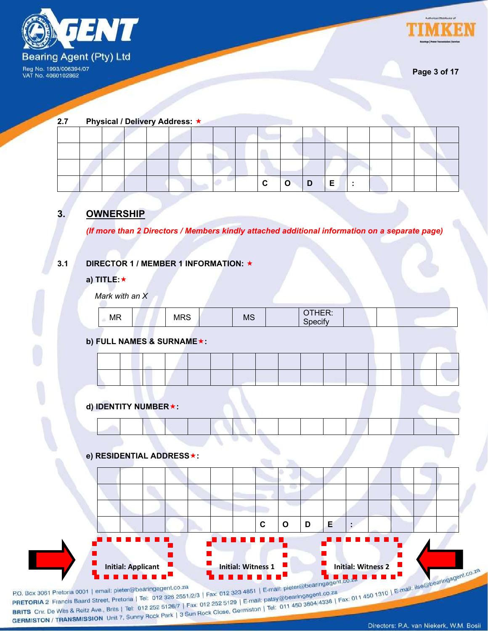



**Page 3 of 17**

| 2.7 |  |  | Physical / Delivery Address: ★ |  |  |  |  |  |  |
|-----|--|--|--------------------------------|--|--|--|--|--|--|
|     |  |  |                                |  |  |  |  |  |  |
|     |  |  |                                |  |  |  |  |  |  |
|     |  |  |                                |  |  |  |  |  |  |
|     |  |  |                                |  |  |  |  |  |  |

### **3. OWNERSHIP**

*(If more than 2 Directors / Members kindly attached additional information on a separate page)*

### **3.1 DIRECTOR 1 / MEMBER 1 INFORMATION:**

**a) TITLE:**

*Mark with an X*

| .  | $\sim$        | <b>MS</b> | $\cdots$<br>. |  |  |
|----|---------------|-----------|---------------|--|--|
| MR | M<br>$\cdots$ |           |               |  |  |
|    |               |           |               |  |  |

### **b) FULL NAMES & SURNAME:**



**d) IDENTITY NUMBER:**

### **e) RESIDENTIAL ADDRESS:**

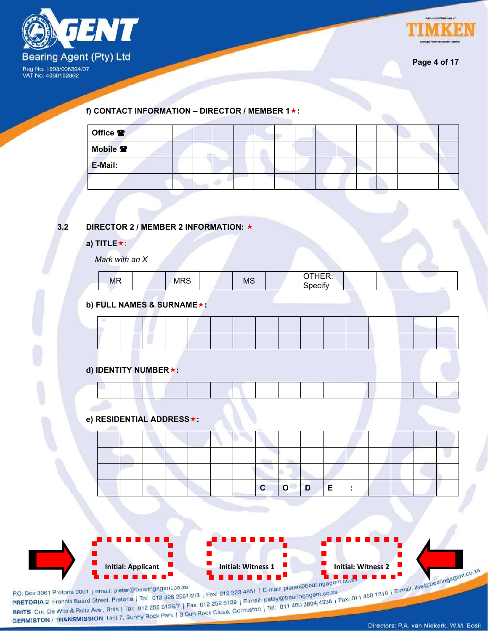



**Page 4 of 17**

**f) CONTACT INFORMATION – DIRECTOR / MEMBER 1:**

| Office <sup>2</sup> |  |  |  |  |  |  |  |
|---------------------|--|--|--|--|--|--|--|
| Mobile <sup>2</sup> |  |  |  |  |  |  |  |
| E-Mail:             |  |  |  |  |  |  |  |
|                     |  |  |  |  |  |  |  |

### **3.2 DIRECTOR 2 / MEMBER 2 INFORMATION:**

#### **a) TITLE**:

*Mark with an X*

| <b>MR</b> |  | <b>MRS</b> |  | <b>MS</b> |  | -. .--<br>--<br>IER.<br>਼ੇoecifv |  |  |  |  |
|-----------|--|------------|--|-----------|--|----------------------------------|--|--|--|--|
|-----------|--|------------|--|-----------|--|----------------------------------|--|--|--|--|

### **b) FULL NAMES & SURNAME:**

**d) IDENTITY NUMBER:**

**e) RESIDENTIAL ADDRESS:**

|  |  |  |  | $\mathbf{c}$ | $\overline{\mathsf{O}}$ | $\overline{D}$ | $\Box$ E |  |  |  |
|--|--|--|--|--------------|-------------------------|----------------|----------|--|--|--|

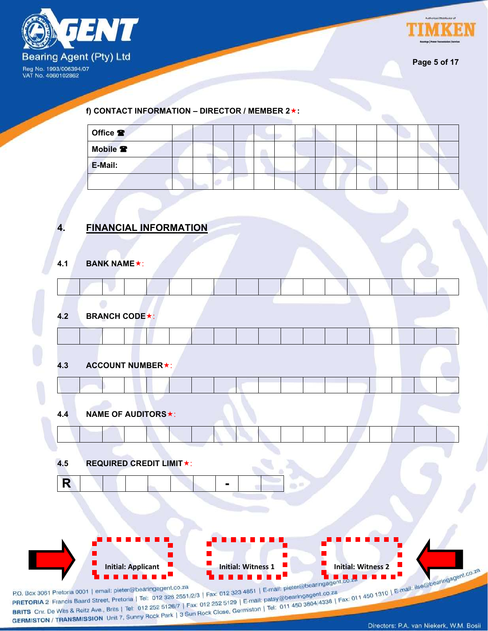



**Page 5 of 17**

**f) CONTACT INFORMATION – DIRECTOR / MEMBER 2:**

| Office <sup>2</sup> |  |  |  |  |  |  |  |
|---------------------|--|--|--|--|--|--|--|
| Mobile <sup>2</sup> |  |  |  |  |  |  |  |
| E-Mail:             |  |  |  |  |  |  |  |
|                     |  |  |  |  |  |  |  |

### **4. FINANCIAL INFORMATION**

| 4.3 | <b>ACCOUNT NUMBER★:</b>        |    |               |  |  |
|-----|--------------------------------|----|---------------|--|--|
|     |                                |    |               |  |  |
| 4.4 | <b>NAME OF AUDITORS★:</b>      |    |               |  |  |
|     |                                |    |               |  |  |
| 4.5 | <b>REQUIRED CREDIT LIMIT★:</b> |    |               |  |  |
| R   |                                | ۰. | $\Rightarrow$ |  |  |
|     |                                |    |               |  |  |
|     |                                |    |               |  |  |

P.O. Box 3061 Pretoria 0001 | email: pieter@bearingagent.co.za<br>
PRETORIA 2 Francis Baard Street, Pretoria | Tel: 012 326 2551/2/3 | Fax: 012 323 4851 | E-mail: pieter@bearingagent.co.za<br>
BRITS Cnr. De Wits & Reitz Ave., Br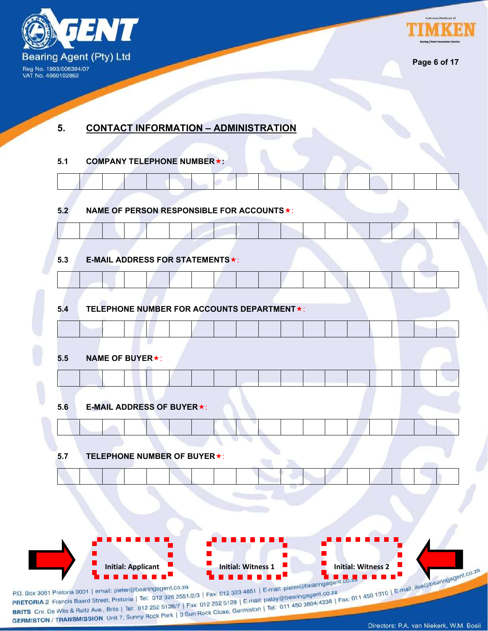

 $\overline{\Gamma}$ 

 $\top$ 

**TALL** 



**Page 6 of 17**

 $\mathcal{L}_{\mathcal{A}}$ 

### **5. CONTACT INFORMATION – ADMINISTRATION**

a Tangara

 $\top$ 

F

 $\mathbb{R}^2$ 

**All Street** 

### **5.1 COMPANY TELEPHONE NUMBER:**

**Contract Contract Contract Contract Contract Contract Contract Contract Contract Contract Contract Contract Contract Contract Contract Contract Contract Contract Contract Contract Contract Contract Contract Contract Contr** 

| 5.3 | E-MAIL ADDRESS FOR STATEMENTS *:           |  |  |  |  |  |  |
|-----|--------------------------------------------|--|--|--|--|--|--|
|     |                                            |  |  |  |  |  |  |
| 5.4 | TELEPHONE NUMBER FOR ACCOUNTS DEPARTMENT★: |  |  |  |  |  |  |
|     |                                            |  |  |  |  |  |  |
| 5.5 | <b>NAME OF BUYER★:</b>                     |  |  |  |  |  |  |
|     |                                            |  |  |  |  |  |  |
| 5.6 | <b>E-MAIL ADDRESS OF BUYER★:</b>           |  |  |  |  |  |  |
|     |                                            |  |  |  |  |  |  |
| 5.7 | <b>TELEPHONE NUMBER OF BUYER *:</b>        |  |  |  |  |  |  |
|     |                                            |  |  |  |  |  |  |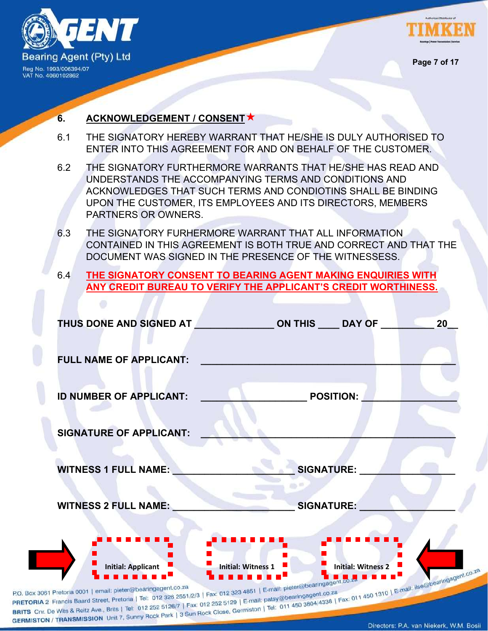



**Page 7 of 17**

### **6. ACKNOWLEDGEMENT / CONSENT**

- 6.1 THE SIGNATORY HEREBY WARRANT THAT HE/SHE IS DULY AUTHORISED TO ENTER INTO THIS AGREEMENT FOR AND ON BEHALF OF THE CUSTOMER.
- 6.2 THE SIGNATORY FURTHERMORE WARRANTS THAT HE/SHE HAS READ AND UNDERSTANDS THE ACCOMPANYING TERMS AND CONDITIONS AND ACKNOWLEDGES THAT SUCH TERMS AND CONDIOTINS SHALL BE BINDING UPON THE CUSTOMER, ITS EMPLOYEES AND ITS DIRECTORS, MEMBERS PARTNERS OR OWNERS.
- 6.3 THE SIGNATORY FURHERMORE WARRANT THAT ALL INFORMATION CONTAINED IN THIS AGREEMENT IS BOTH TRUE AND CORRECT AND THAT THE DOCUMENT WAS SIGNED IN THE PRESENCE OF THE WITNESSESS.
- 6.4 **THE SIGNATORY CONSENT TO BEARING AGENT MAKING ENQUIRIES WITH ANY CREDIT BUREAU TO VERIFY THE APPLICANT'S CREDIT WORTHINESS.**

|                                | THUS DONE AND SIGNED AT _________________ ON THIS _____ DAY OF _________________ |                           | 20 |
|--------------------------------|----------------------------------------------------------------------------------|---------------------------|----|
| <b>FULL NAME OF APPLICANT:</b> |                                                                                  |                           |    |
| <b>ID NUMBER OF APPLICANT:</b> |                                                                                  | <b>POSITION:</b>          |    |
| <b>SIGNATURE OF APPLICANT:</b> |                                                                                  |                           |    |
| <b>WITNESS 1 FULL NAME:</b>    |                                                                                  | <b>SIGNATURE:</b>         |    |
| <b>WITNESS 2 FULL NAME:</b>    |                                                                                  | <b>SIGNATURE:</b>         |    |
|                                |                                                                                  |                           |    |
| <b>Initial: Applicant</b>      | <b>Initial: Witness 1</b><br>patsy@bearingagent.co.za                            | <b>Initial: Witness 2</b> |    |

BRITS Chr. De Wits & Reitz Ave., Brits | Tel: 012 252 5126/7 | Fax: 012 252 012 11 GERMISTON | Tel: 0<br>GERMISTON / TRANSMISSION Unit 7, Sunny Rock Park | 3 Sun Rock Close, Germiston | Tel: 0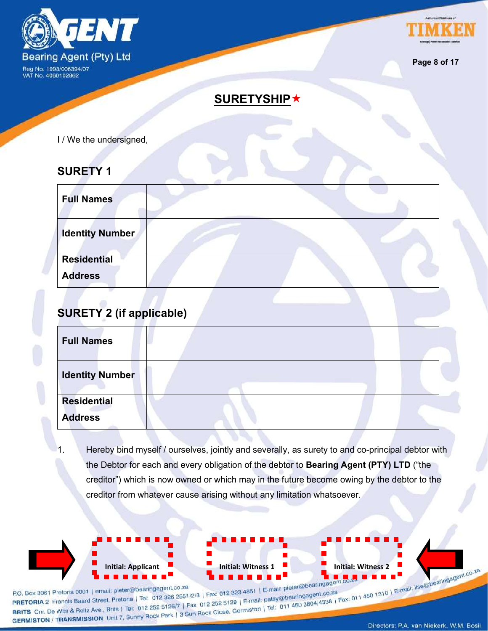



**Page 8 of 17**

### **SURETYSHIP**

I / We the undersigned,

### **SURETY 1**

| <b>Full Names</b>      |  |  |
|------------------------|--|--|
| <b>Identity Number</b> |  |  |
| <b>Residential</b>     |  |  |
| <b>Address</b>         |  |  |

### **SURETY 2 (if applicable)**

| <b>Full Names</b>      |  |  |
|------------------------|--|--|
| <b>Identity Number</b> |  |  |
| <b>Residential</b>     |  |  |
| <b>Address</b>         |  |  |

Hereby bind myself / ourselves, jointly and severally, as surety to and co-principal debtor with the Debtor for each and every obligation of the debtor to **Bearing Agent (PTY) LTD** ("the creditor") which is now owned or which may in the future become owing by the debtor to the creditor from whatever cause arising without any limitation whatsoever.

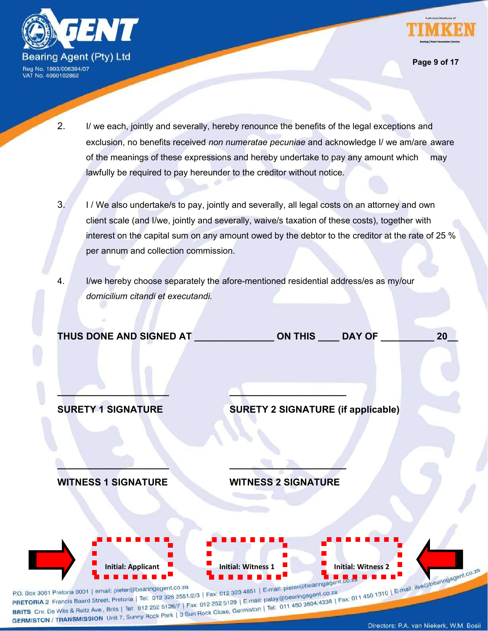



**Page 9 of 17**

- 2. I/ we each, jointly and severally, hereby renounce the benefits of the legal exceptions and exclusion, no benefits received *non numeratae pecuniae* and acknowledge I/ we am/are aware of the meanings of these expressions and hereby undertake to pay any amount which may lawfully be required to pay hereunder to the creditor without notice.
- 3. I / We also undertake/s to pay, jointly and severally, all legal costs on an attorney and own client scale (and I/we, jointly and severally, waive/s taxation of these costs), together with interest on the capital sum on any amount owed by the debtor to the creditor at the rate of 25 % per annum and collection commission.
- 4. I/we hereby choose separately the afore-mentioned residential address/es as my/our *domicilium citandi et executandi.*

**\_\_\_\_\_\_\_\_\_\_\_\_\_\_\_\_\_\_\_\_\_ \_\_\_\_\_\_\_\_\_\_\_\_\_\_\_\_\_\_\_\_\_\_**

**\_\_\_\_\_\_\_\_\_\_\_\_\_\_\_\_\_\_\_\_\_ \_\_\_\_\_\_\_\_\_\_\_\_\_\_\_\_\_\_\_\_\_\_**

| THUS DONE AND SIGNED AT | <b>ON THIS</b> | 20<br><b>DAY OF</b> |
|-------------------------|----------------|---------------------|
|                         |                |                     |

**SURETY 1 SIGNATURE SURETY 2 SIGNATURE (if applicable)**

**WITNESS 1 SIGNATURE WITNESS 2 SIGNATURE**

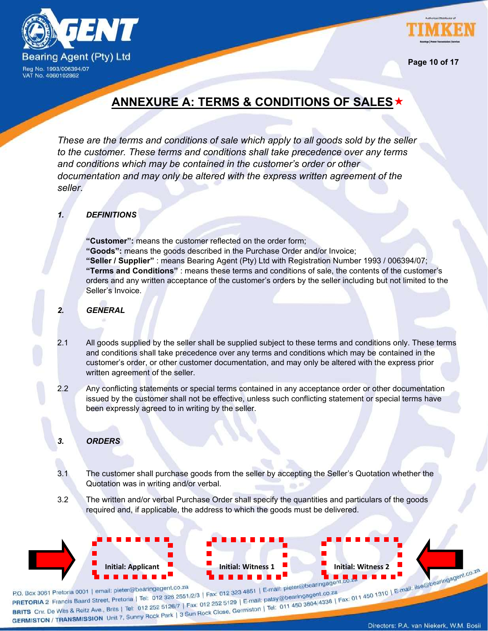



**Page 10 of 17**

### **ANNEXURE A: TERMS & CONDITIONS OF SALES**

*These are the terms and conditions of sale which apply to all goods sold by the seller to the customer. These terms and conditions shall take precedence over any terms and conditions which may be contained in the customer's order or other documentation and may only be altered with the express written agreement of the seller*.

### *1. DEFINITIONS*

**"Customer":** means the customer reflected on the order form; **"Goods":** means the goods described in the Purchase Order and/or Invoice; **"Seller / Supplier"** : means Bearing Agent (Pty) Ltd with Registration Number 1993 / 006394/07; **"Terms and Conditions"** : means these terms and conditions of sale, the contents of the customer's orders and any written acceptance of the customer's orders by the seller including but not limited to the Seller's Invoice.

### *2. GENERAL*

- 2.1 All goods supplied by the seller shall be supplied subject to these terms and conditions only. These terms and conditions shall take precedence over any terms and conditions which may be contained in the customer's order, or other customer documentation, and may only be altered with the express prior written agreement of the seller.
- 2.2 Any conflicting statements or special terms contained in any acceptance order or other documentation issued by the customer shall not be effective, unless such conflicting statement or special terms have been expressly agreed to in writing by the seller.

### *3. ORDERS*

- 3.1 The customer shall purchase goods from the seller by accepting the Seller's Quotation whether the Quotation was in writing and/or verbal.
- 3.2 The written and/or verbal Purchase Order shall specify the quantities and particulars of the goods required and, if applicable, the address to which the goods must be delivered.

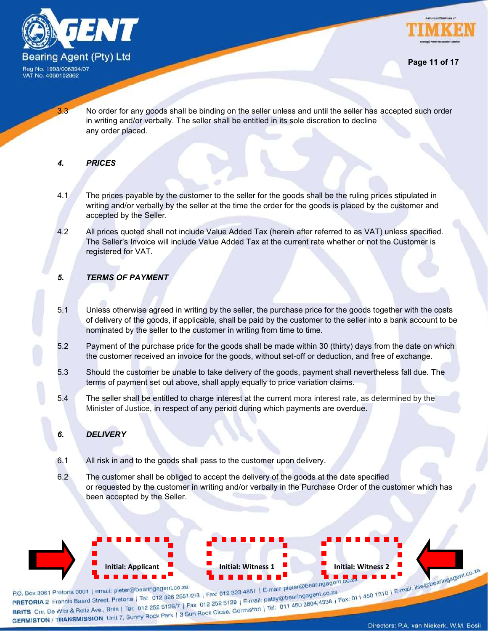



3.3 No order for any goods shall be binding on the seller unless and until the seller has accepted such order in writing and/or verbally. The seller shall be entitled in its sole discretion to decline any order placed.

### *4. PRICES*

- 4.1 The prices payable by the customer to the seller for the goods shall be the ruling prices stipulated in writing and/or verbally by the seller at the time the order for the goods is placed by the customer and accepted by the Seller.
- 4.2 All prices quoted shall not include Value Added Tax (herein after referred to as VAT) unless specified. The Seller's Invoice will include Value Added Tax at the current rate whether or not the Customer is registered for VAT.

### *5. TERMS OF PAYMENT*

- 5.1 Unless otherwise agreed in writing by the seller, the purchase price for the goods together with the costs of delivery of the goods, if applicable, shall be paid by the customer to the seller into a bank account to be nominated by the seller to the customer in writing from time to time.
- 5.2 Payment of the purchase price for the goods shall be made within 30 (thirty) days from the date on which the customer received an invoice for the goods, without set-off or deduction, and free of exchange.
- 5.3 Should the customer be unable to take delivery of the goods, payment shall nevertheless fall due. The terms of payment set out above, shall apply equally to price variation claims.
- 5.4 The seller shall be entitled to charge interest at the current mora interest rate, as determined by the Minister of Justice, in respect of any period during which payments are overdue.

### *6. DELIVERY*

- 6.1 All risk in and to the goods shall pass to the customer upon delivery.
- 6.2 The customer shall be obliged to accept the delivery of the goods at the date specified or requested by the customer in writing and/or verbally in the Purchase Order of the customer which has been accepted by the Seller.

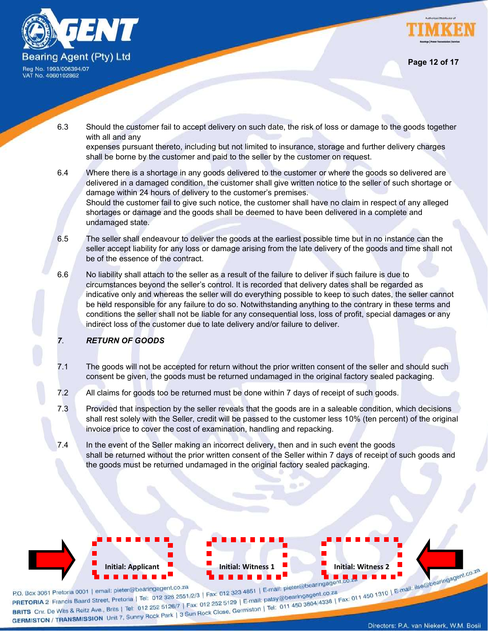





**Page 12 of 17**

6.3 Should the customer fail to accept delivery on such date, the risk of loss or damage to the goods together with all and any

expenses pursuant thereto, including but not limited to insurance, storage and further delivery charges shall be borne by the customer and paid to the seller by the customer on request.

- 6.4 Where there is a shortage in any goods delivered to the customer or where the goods so delivered are delivered in a damaged condition, the customer shall give written notice to the seller of such shortage or damage within 24 hours of delivery to the customer's premises. Should the customer fail to give such notice, the customer shall have no claim in respect of any alleged shortages or damage and the goods shall be deemed to have been delivered in a complete and undamaged state.
- 6.5 The seller shall endeavour to deliver the goods at the earliest possible time but in no instance can the seller accept liability for any loss or damage arising from the late delivery of the goods and time shall not be of the essence of the contract.
- 6.6 No liability shall attach to the seller as a result of the failure to deliver if such failure is due to circumstances beyond the seller's control. It is recorded that delivery dates shall be regarded as indicative only and whereas the seller will do everything possible to keep to such dates, the seller cannot be held responsible for any failure to do so. Notwithstanding anything to the contrary in these terms and conditions the seller shall not be liable for any consequential loss, loss of profit, special damages or any indirect loss of the customer due to late delivery and/or failure to deliver.
- *7*. *RETURN OF GOODS*
- 7.1 The goods will not be accepted for return without the prior written consent of the seller and should such consent be given, the goods must be returned undamaged in the original factory sealed packaging.
- 7.2 All claims for goods too be returned must be done within 7 days of receipt of such goods.
- 7.3 Provided that inspection by the seller reveals that the goods are in a saleable condition, which decisions shall rest solely with the Seller, credit will be passed to the customer less 10% (ten percent) of the original invoice price to cover the cost of examination, handling and repacking.
- 7.4 In the event of the Seller making an incorrect delivery, then and in such event the goods shall be returned without the prior written consent of the Seller within 7 days of receipt of such goods and the goods must be returned undamaged in the original factory sealed packaging.

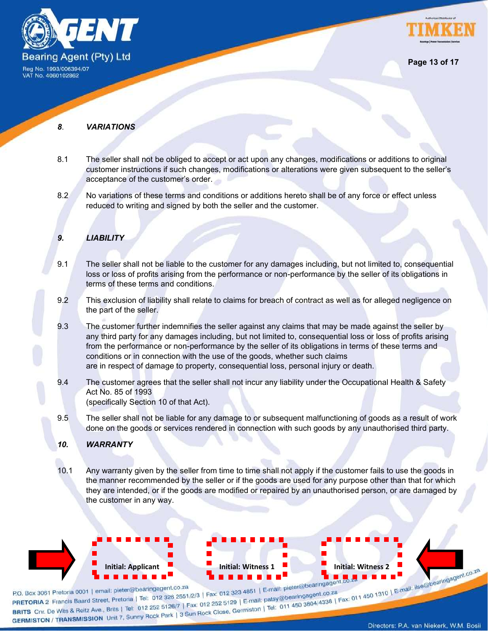



**Page 13 of 17**

#### *8*. *VARIATIONS*

- 8.1 The seller shall not be obliged to accept or act upon any changes, modifications or additions to original customer instructions if such changes, modifications or alterations were given subsequent to the seller's acceptance of the customer's order.
- 8.2 No variations of these terms and conditions or additions hereto shall be of any force or effect unless reduced to writing and signed by both the seller and the customer.

### *9. LIABILITY*

- 9.1 The seller shall not be liable to the customer for any damages including, but not limited to, consequential loss or loss of profits arising from the performance or non-performance by the seller of its obligations in terms of these terms and conditions.
- 9.2 This exclusion of liability shall relate to claims for breach of contract as well as for alleged negligence on the part of the seller.
- 9.3 The customer further indemnifies the seller against any claims that may be made against the seller by any third party for any damages including, but not limited to, consequential loss or loss of profits arising from the performance or non-performance by the seller of its obligations in terms of these terms and conditions or in connection with the use of the goods, whether such claims are in respect of damage to property, consequential loss, personal injury or death.
- 9.4 The customer agrees that the seller shall not incur any liability under the Occupational Health & Safety Act No. 85 of 1993 (specifically Section 10 of that Act).
- 9.5 The seller shall not be liable for any damage to or subsequent malfunctioning of goods as a result of work done on the goods or services rendered in connection with such goods by any unauthorised third party.

#### *10. WARRANTY*

10.1 Any warranty given by the seller from time to time shall not apply if the customer fails to use the goods in the manner recommended by the seller or if the goods are used for any purpose other than that for which they are intended, or if the goods are modified or repaired by an unauthorised person, or are damaged by the customer in any way.

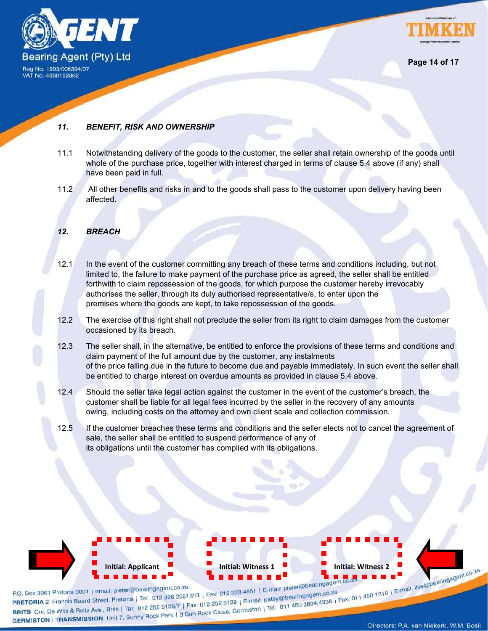



### *11. BENEFIT, RISK AND OWNERSHIP*

- 11.1 Notwithstanding delivery of the goods to the customer, the seller shall retain ownership of the goods until whole of the purchase price, together with interest charged in terms of clause 5.4 above (if any) shall have been paid in full.
- 11.2 All other benefits and risks in and to the goods shall pass to the customer upon delivery having been affected.

### *12. BREACH*

- 12.1 In the event of the customer committing any breach of these terms and conditions including, but not limited to, the failure to make payment of the purchase price as agreed, the seller shall be entitled forthwith to claim repossession of the goods, for which purpose the customer hereby irrevocably authorises the seller, through its duly authorised representative/s, to enter upon the premises where the goods are kept, to take repossession of the goods.
- 12.2 The exercise of this right shall not preclude the seller from its right to claim damages from the customer occasioned by its breach.
- 12.3 The seller shall, in the alternative, be entitled to enforce the provisions of these terms and conditions and claim payment of the full amount due by the customer, any instalments of the price falling due in the future to become due and payable immediately. In such event the seller shall be entitled to charge interest on overdue amounts as provided in clause 5.4 above.
- 12.4 Should the seller take legal action against the customer in the event of the customer's breach, the customer shall be liable for all legal fees incurred by the seller in the recovery of any amounts owing, including costs on the attorney and own client scale and collection commission.
- 12.5 If the customer breaches these terms and conditions and the seller elects not to cancel the agreement of sale, the seller shall be entitled to suspend performance of any of its obligations until the customer has complied with its obligations.

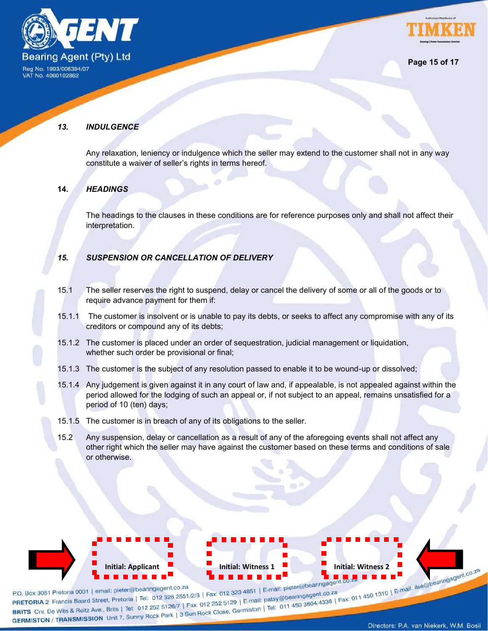



VAT No. 4060102862

### *13. INDULGENCE*

Any relaxation, leniency or indulgence which the seller may extend to the customer shall not in any way constitute a waiver of seller's rights in terms hereof.

### **14.** *HEADINGS*

The headings to the clauses in these conditions are for reference purposes only and shall not affect their interpretation.

### *15. SUSPENSION OR CANCELLATION OF DELIVERY*

- 15.1 The seller reserves the right to suspend, delay or cancel the delivery of some or all of the goods or to require advance payment for them if:
- 15.1.1 The customer is insolvent or is unable to pay its debts, or seeks to affect any compromise with any of its creditors or compound any of its debts;
- 15.1.2 The customer is placed under an order of sequestration, judicial management or liquidation, whether such order be provisional or final;
- 15.1.3 The customer is the subject of any resolution passed to enable it to be wound-up or dissolved;
- 15.1.4 Any judgement is given against it in any court of law and, if appealable, is not appealed against within the period allowed for the lodging of such an appeal or, if not subject to an appeal, remains unsatisfied for a period of 10 (ten) days;
- 15.1.5 The customer is in breach of any of its obligations to the seller.
- 15.2 Any suspension, delay or cancellation as a result of any of the aforegoing events shall not affect any other right which the seller may have against the customer based on these terms and conditions of sale or otherwise.

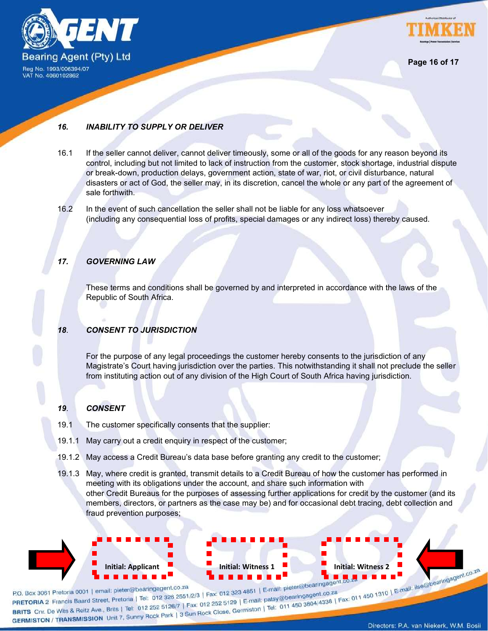



### *16. INABILITY TO SUPPLY OR DELIVER*

- 16.1 If the seller cannot deliver, cannot deliver timeously, some or all of the goods for any reason beyond its control, including but not limited to lack of instruction from the customer, stock shortage, industrial dispute or break-down, production delays, government action, state of war, riot, or civil disturbance, natural disasters or act of God, the seller may, in its discretion, cancel the whole or any part of the agreement of sale forthwith.
- 16.2 In the event of such cancellation the seller shall not be liable for any loss whatsoever (including any consequential loss of profits, special damages or any indirect loss) thereby caused.

### *17. GOVERNING LAW*

These terms and conditions shall be governed by and interpreted in accordance with the laws of the Republic of South Africa.

#### *18*. *CONSENT TO JURISDICTION*

For the purpose of any legal proceedings the customer hereby consents to the jurisdiction of any Magistrate's Court having jurisdiction over the parties. This notwithstanding it shall not preclude the seller from instituting action out of any division of the High Court of South Africa having jurisdiction.

#### *19*. *CONSENT*

- 19.1 The customer specifically consents that the supplier:
- 19.1.1 May carry out a credit enquiry in respect of the customer;
- 19.1.2 May access a Credit Bureau's data base before granting any credit to the customer;
- 19.1.3 May, where credit is granted, transmit details to a Credit Bureau of how the customer has performed in meeting with its obligations under the account, and share such information with other Credit Bureaus for the purposes of assessing further applications for credit by the customer (and its members, directors, or partners as the case may be) and for occasional debt tracing, debt collection and fraud prevention purposes;